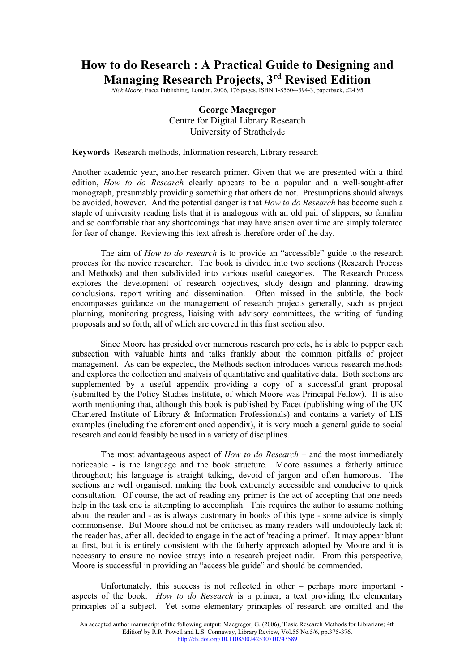# **How to do Research : A Practical Guide to Designing and Managing Research Projects, 3 rd Revised Edition**

*Nick Moore, Facet Publishing, London, 2006, 176 pages, ISBN 1-85604-594-3, paperback, £24.95* 

## **George Macgregor** Centre for Digital Library Research University of Strathclyde

#### **Keywords** Research methods, Information research, Library research

Another academic year, another research primer. Given that we are presented with a third edition, *How to do Research* clearly appears to be a popular and a well-sought-after monograph, presumably providing something that others do not. Presumptions should always be avoided, however. And the potential danger is that *How to do Research* has become such a staple of university reading lists that it is analogous with an old pair of slippers; so familiar and so comfortable that any shortcomings that may have arisen over time are simply tolerated for fear of change. Reviewing this text afresh is therefore order of the day.

The aim of *How to do research* is to provide an "accessible" guide to the research process for the novice researcher. The book is divided into two sections (Research Process and Methods) and then subdivided into various useful categories. The Research Process explores the development of research objectives, study design and planning, drawing conclusions, report writing and dissemination. Often missed in the subtitle, the book encompasses guidance on the management of research projects generally, such as project planning, monitoring progress, liaising with advisory committees, the writing of funding proposals and so forth, all of which are covered in this first section also.

Since Moore has presided over numerous research projects, he is able to pepper each subsection with valuable hints and talks frankly about the common pitfalls of project management. As can be expected, the Methods section introduces various research methods and explores the collection and analysis of quantitative and qualitative data. Both sections are supplemented by a useful appendix providing a copy of a successful grant proposal (submitted by the Policy Studies Institute, of which Moore was Principal Fellow). It is also worth mentioning that, although this book is published by Facet (publishing wing of the UK Chartered Institute of Library & Information Professionals) and contains a variety of LIS examples (including the aforementioned appendix), it is very much a general guide to social research and could feasibly be used in a variety of disciplines.

The most advantageous aspect of *How to do Research* – and the most immediately noticeable - is the language and the book structure. Moore assumes a fatherly attitude throughout; his language is straight talking, devoid of jargon and often humorous. The sections are well organised, making the book extremely accessible and conducive to quick consultation. Of course, the act of reading any primer is the act of accepting that one needs help in the task one is attempting to accomplish. This requires the author to assume nothing about the reader and - as is always customary in books of this type - some advice is simply commonsense. But Moore should not be criticised as many readers will undoubtedly lack it; the reader has, after all, decided to engage in the act of 'reading a primer'. It may appear blunt at first, but it is entirely consistent with the fatherly approach adopted by Moore and it is necessary to ensure no novice strays into a research project nadir. From this perspective, Moore is successful in providing an "accessible guide" and should be commended.

Unfortunately, this success is not reflected in other – perhaps more important aspects of the book. *How to do Research* is a primer; a text providing the elementary principles of a subject. Yet some elementary principles of research are omitted and the